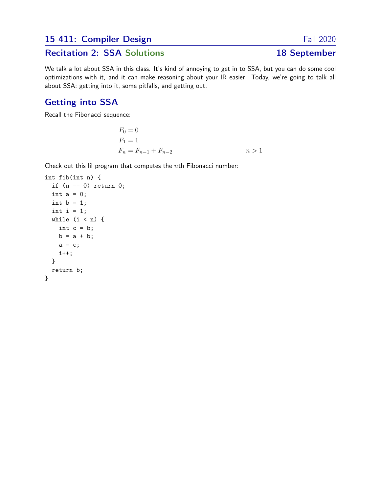## 15-411: Compiler Design Fall 2020

# Recitation 2: SSA Solutions 18 September

We talk a lot about SSA in this class. It's kind of annoying to get in to SSA, but you can do some cool optimizations with it, and it can make reasoning about your IR easier. Today, we're going to talk all about SSA: getting into it, some pitfalls, and getting out.

## Getting into SSA

Recall the Fibonacci sequence:

$$
F_0 = 0
$$
  
\n
$$
F_1 = 1
$$
  
\n
$$
F_n = F_{n-1} + F_{n-2}
$$
  
\n
$$
n > 1
$$

Check out this lil program that computes the  $n$ th Fibonacci number:

```
int fib(int n) {
  if (n == 0) return 0;
  int a = 0;
  int b = 1;
  int i = 1;
  while (i < n) {
    int c = b;
    b = a + b;a = c;i++;
  }
  return b;
}
```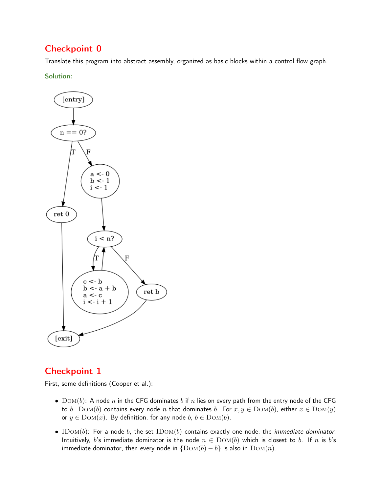Translate this program into abstract assembly, organized as basic blocks within a control flow graph.

Solution:



## Checkpoint 1

First, some definitions (Cooper et al.):

- $Dom(b)$ : A node n in the CFG dominates b if n lies on every path from the entry node of the CFG to b. DOM(b) contains every node n that dominates b. For  $x, y \in$  DOM(b), either  $x \in$  DOM(y) or  $y \in \text{Dom}(x)$ . By definition, for any node  $b, b \in \text{Dom}(b)$ .
- IDOM(b): For a node b, the set IDOM(b) contains exactly one node, the *immediate dominator*. Intuitively, b's immediate dominator is the node  $n \in Dom(b)$  which is closest to b. If n is b's immediate dominator, then every node in  $\{Dom(b) - b\}$  is also in  $Dom(n)$ .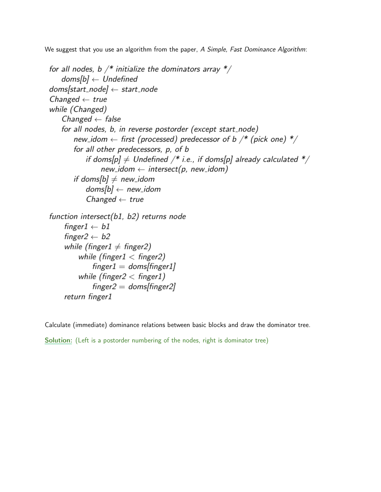We suggest that you use an algorithm from the paper, A Simple, Fast Dominance Algorithm:

```
for all nodes, b /* initialize the dominators array */doms[b] \leftarrow Undefineddomsfstart\_node + start_node
Changed \leftarrow true
while (Changed)
   Changed \leftarrow false
   for all nodes, b, in reverse postorder (except start_node)
       new_idom \leftarrow first (processed) predecessor of b /* (pick one) */
       for all other predecessors, p, of b
           if doms[p] \neq Undefined /* i.e., if doms[p] already calculated */
                new_idom \leftarrow intersect(p, new_idom)
       if doms[b] \neq new_idom
           doms[b] \leftarrow new_idomChanged \leftarrow true
function intersect(b1, b2) returns node
    finger1 \leftarrow b1finger2 \leftarrow b2while (finger1 \neq finger2)
         while (finger1 < finger2)
             finger1 = doms/finger1while (finger2 < finger1)
             finger2 = doms/finger2return finger1
```
Calculate (immediate) dominance relations between basic blocks and draw the dominator tree.

Solution: (Left is a postorder numbering of the nodes, right is dominator tree)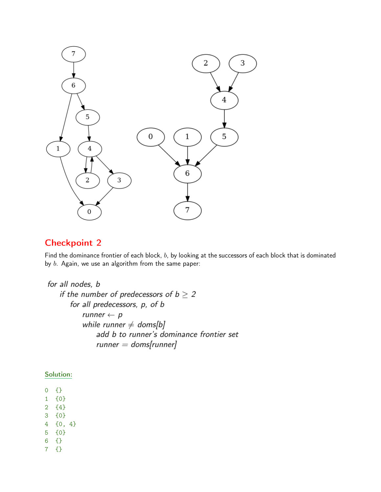

Find the dominance frontier of each block, b, by looking at the successors of each block that is dominated by  $b$ . Again, we use an algorithm from the same paper:

```
for all nodes, b
   if the number of predecessors of b \geq 2for all predecessors, p, of b
          runner \leftarrow pwhile runner \ne doms[b]
              add b to runner's dominance frontier set
              runner = doms[runner]
```
#### Solution:

0 {}

- 1 {0}
- 2 {4}
- 3 {0}
- 4 {0, 4}
- 5 {0}
- 6 {}
- 7 {}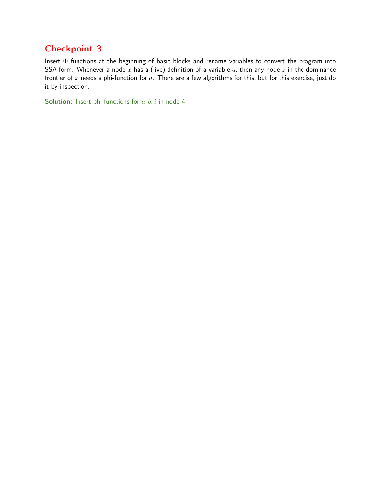Insert Φ functions at the beginning of basic blocks and rename variables to convert the program into SSA form. Whenever a node x has a (live) definition of a variable  $a$ , then any node  $z$  in the dominance frontier of  $x$  needs a phi-function for  $a$ . There are a few algorithms for this, but for this exercise, just do it by inspection.

**Solution:** Insert phi-functions for  $a, b, i$  in node 4.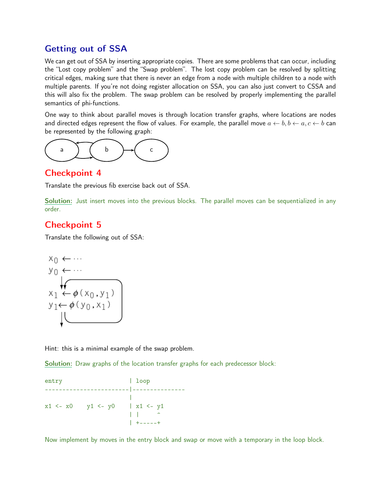## Getting out of SSA

We can get out of SSA by inserting appropriate copies. There are some problems that can occur, including the "Lost copy problem" and the "Swap problem". The lost copy problem can be resolved by splitting critical edges, making sure that there is never an edge from a node with multiple children to a node with multiple parents. If you're not doing register allocation on SSA, you can also just convert to CSSA and this will also fix the problem. The swap problem can be resolved by properly implementing the parallel semantics of phi-functions.

One way to think about parallel moves is through location transfer graphs, where locations are nodes and directed edges represent the flow of values. For example, the parallel move  $a \leftarrow b, b \leftarrow a, c \leftarrow b$  can be represented by the following graph:



## Checkpoint 4

Translate the previous fib exercise back out of SSA.

Solution: Just insert moves into the previous blocks. The parallel moves can be sequentialized in any order.

## Checkpoint 5

Translate the following out of SSA:

$$
x_0 \leftarrow \cdots
$$
\n
$$
y_0 \leftarrow \cdots
$$
\n
$$
x_1 \leftarrow \phi(x_0, y_1)
$$
\n
$$
y_1 \leftarrow \phi(y_0, x_1)
$$

Hint: this is a minimal example of the swap problem.

Solution: Draw graphs of the location transfer graphs for each predecessor block:

entry | loop ------------------------|--------------- | x1 <- x0 y1 <- y0 | x1 <- y1  $| \cdot |$   $|$ | +-----+

Now implement by moves in the entry block and swap or move with a temporary in the loop block.